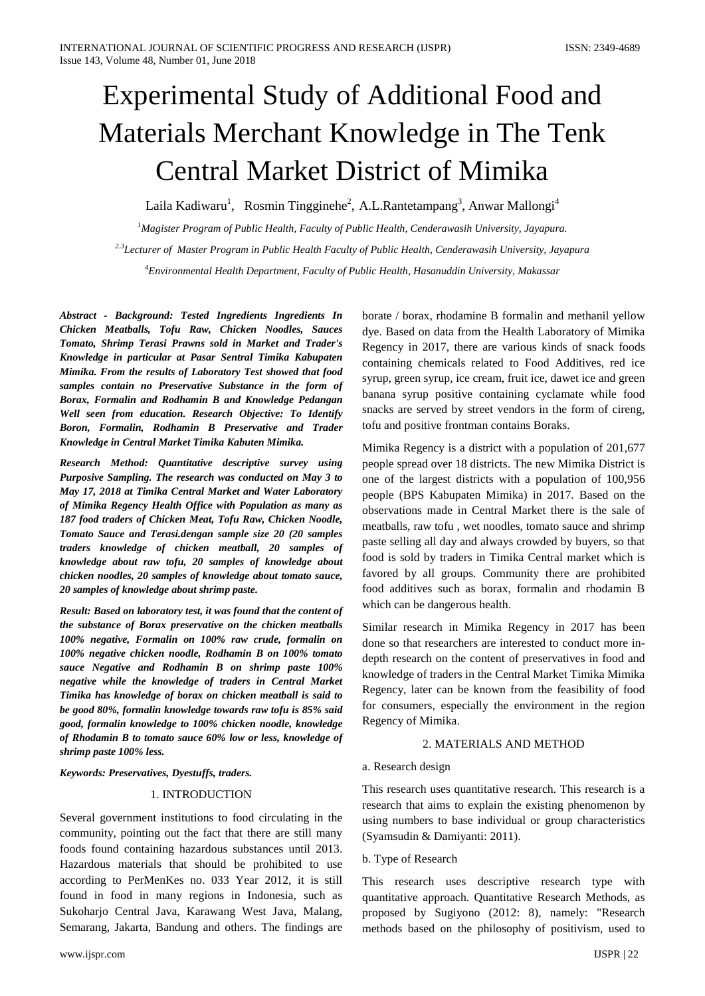# Experimental Study of Additional Food and Materials Merchant Knowledge in The Tenk Central Market District of Mimika

Laila Kadiwaru<sup>1</sup>, Rosmin Tingginehe<sup>2</sup>, A.L.Rantetampang<sup>3</sup>, Anwar Mallongi<sup>4</sup>

*1 Magister Program of Public Health, Faculty of Public Health, Cenderawasih University, Jayapura. 2.3Lecturer of Master Program in Public Health Faculty of Public Health, Cenderawasih University, Jayapura 4 Environmental Health Department, Faculty of Public Health, Hasanuddin University, Makassar*

*Abstract - Background: Tested Ingredients Ingredients In Chicken Meatballs, Tofu Raw, Chicken Noodles, Sauces Tomato, Shrimp Terasi Prawns sold in Market and Trader's Knowledge in particular at Pasar Sentral Timika Kabupaten Mimika. From the results of Laboratory Test showed that food samples contain no Preservative Substance in the form of Borax, Formalin and Rodhamin B and Knowledge Pedangan Well seen from education. Research Objective: To Identify Boron, Formalin, Rodhamin B Preservative and Trader Knowledge in Central Market Timika Kabuten Mimika.*

*Research Method: Quantitative descriptive survey using Purposive Sampling. The research was conducted on May 3 to May 17, 2018 at Timika Central Market and Water Laboratory of Mimika Regency Health Office with Population as many as 187 food traders of Chicken Meat, Tofu Raw, Chicken Noodle, Tomato Sauce and Terasi.dengan sample size 20 (20 samples traders knowledge of chicken meatball, 20 samples of knowledge about raw tofu, 20 samples of knowledge about chicken noodles, 20 samples of knowledge about tomato sauce, 20 samples of knowledge about shrimp paste.*

*Result: Based on laboratory test, it was found that the content of the substance of Borax preservative on the chicken meatballs 100% negative, Formalin on 100% raw crude, formalin on 100% negative chicken noodle, Rodhamin B on 100% tomato sauce Negative and Rodhamin B on shrimp paste 100% negative while the knowledge of traders in Central Market Timika has knowledge of borax on chicken meatball is said to be good 80%, formalin knowledge towards raw tofu is 85% said good, formalin knowledge to 100% chicken noodle, knowledge of Rhodamin B to tomato sauce 60% low or less, knowledge of shrimp paste 100% less.*

*Keywords: Preservatives, Dyestuffs, traders.*

# 1. INTRODUCTION

Several government institutions to food circulating in the community, pointing out the fact that there are still many foods found containing hazardous substances until 2013. Hazardous materials that should be prohibited to use according to PerMenKes no. 033 Year 2012, it is still found in food in many regions in Indonesia, such as Sukoharjo Central Java, Karawang West Java, Malang, Semarang, Jakarta, Bandung and others. The findings are

borate / borax, rhodamine B formalin and methanil yellow dye. Based on data from the Health Laboratory of Mimika Regency in 2017, there are various kinds of snack foods containing chemicals related to Food Additives, red ice syrup, green syrup, ice cream, fruit ice, dawet ice and green banana syrup positive containing cyclamate while food snacks are served by street vendors in the form of cireng, tofu and positive frontman contains Boraks.

Mimika Regency is a district with a population of 201,677 people spread over 18 districts. The new Mimika District is one of the largest districts with a population of 100,956 people (BPS Kabupaten Mimika) in 2017. Based on the observations made in Central Market there is the sale of meatballs, raw tofu , wet noodles, tomato sauce and shrimp paste selling all day and always crowded by buyers, so that food is sold by traders in Timika Central market which is favored by all groups. Community there are prohibited food additives such as borax, formalin and rhodamin B which can be dangerous health.

Similar research in Mimika Regency in 2017 has been done so that researchers are interested to conduct more indepth research on the content of preservatives in food and knowledge of traders in the Central Market Timika Mimika Regency, later can be known from the feasibility of food for consumers, especially the environment in the region Regency of Mimika.

# 2. MATERIALS AND METHOD

# a. Research design

This research uses quantitative research. This research is a research that aims to explain the existing phenomenon by using numbers to base individual or group characteristics (Syamsudin & Damiyanti: 2011).

# b. Type of Research

This research uses descriptive research type with quantitative approach. Quantitative Research Methods, as proposed by Sugiyono (2012: 8), namely: "Research methods based on the philosophy of positivism, used to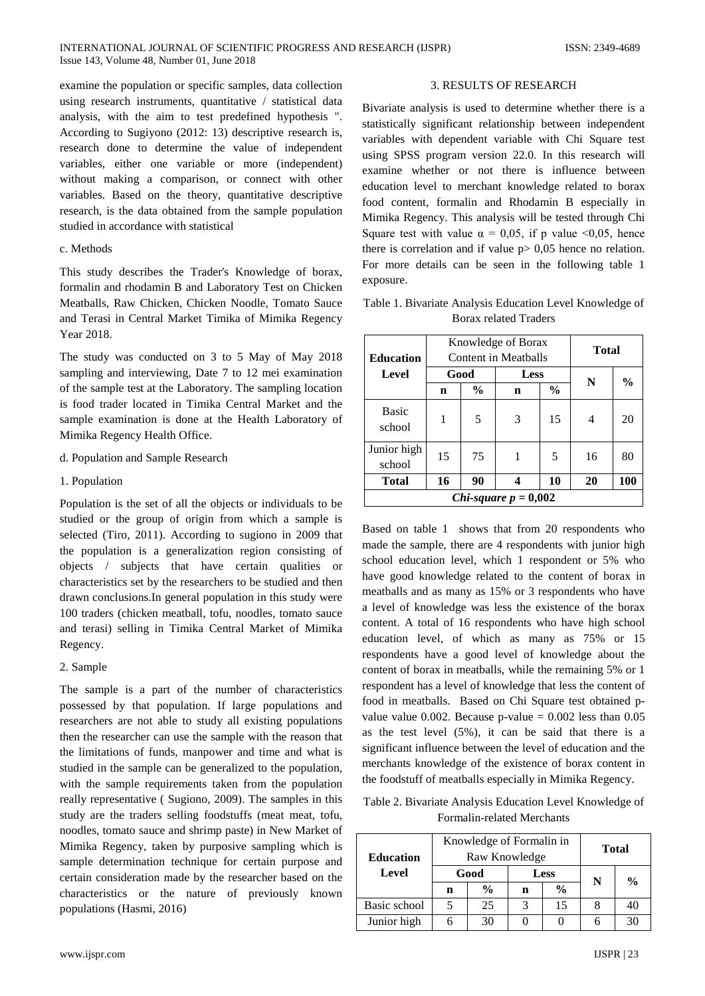examine the population or specific samples, data collection using research instruments, quantitative / statistical data analysis, with the aim to test predefined hypothesis ". According to Sugiyono (2012: 13) descriptive research is, research done to determine the value of independent variables, either one variable or more (independent) without making a comparison, or connect with other variables. Based on the theory, quantitative descriptive research, is the data obtained from the sample population studied in accordance with statistical

## c. Methods

This study describes the Trader's Knowledge of borax, formalin and rhodamin B and Laboratory Test on Chicken Meatballs, Raw Chicken, Chicken Noodle, Tomato Sauce and Terasi in Central Market Timika of Mimika Regency Year 2018.

The study was conducted on 3 to 5 May of May 2018 sampling and interviewing, Date 7 to 12 mei examination of the sample test at the Laboratory. The sampling location is food trader located in Timika Central Market and the sample examination is done at the Health Laboratory of Mimika Regency Health Office.

- d. Population and Sample Research
- 1. Population

Population is the set of all the objects or individuals to be studied or the group of origin from which a sample is selected (Tiro, 2011). According to sugiono in 2009 that the population is a generalization region consisting of objects / subjects that have certain qualities or characteristics set by the researchers to be studied and then drawn conclusions.In general population in this study were 100 traders (chicken meatball, tofu, noodles, tomato sauce and terasi) selling in Timika Central Market of Mimika Regency.

# 2. Sample

The sample is a part of the number of characteristics possessed by that population. If large populations and researchers are not able to study all existing populations then the researcher can use the sample with the reason that the limitations of funds, manpower and time and what is studied in the sample can be generalized to the population, with the sample requirements taken from the population really representative ( Sugiono, 2009). The samples in this study are the traders selling foodstuffs (meat meat, tofu, noodles, tomato sauce and shrimp paste) in New Market of Mimika Regency, taken by purposive sampling which is sample determination technique for certain purpose and certain consideration made by the researcher based on the characteristics or the nature of previously known populations (Hasmi, 2016)

## 3. RESULTS OF RESEARCH

Bivariate analysis is used to determine whether there is a statistically significant relationship between independent variables with dependent variable with Chi Square test using SPSS program version 22.0. In this research will examine whether or not there is influence between education level to merchant knowledge related to borax food content, formalin and Rhodamin B especially in Mimika Regency. This analysis will be tested through Chi Square test with value  $\alpha = 0.05$ , if p value <0.05, hence there is correlation and if value  $p > 0.05$  hence no relation. For more details can be seen in the following table 1 exposure.

Table 1. Bivariate Analysis Education Level Knowledge of Borax related Traders

| <b>Education</b>                         |      | Knowledge of Borax<br>Content in Meatballs | <b>Total</b> |               |    |               |  |  |
|------------------------------------------|------|--------------------------------------------|--------------|---------------|----|---------------|--|--|
| Level                                    | Good |                                            | Less         |               |    |               |  |  |
|                                          | n    | $\frac{0}{0}$                              | n            | $\frac{6}{9}$ | N  | $\frac{6}{9}$ |  |  |
| <b>Basic</b><br>school                   |      | 5                                          | 3            | 15            | 4  | 20            |  |  |
| Junior high<br>school                    | 15   | 75                                         | 1            | 5             | 16 | 80            |  |  |
| <b>Total</b>                             | 16   | 90                                         |              | 10            | 20 | 100           |  |  |
| <i>Chi-square <math>p = 0,002</math></i> |      |                                            |              |               |    |               |  |  |

Based on table 1 shows that from 20 respondents who made the sample, there are 4 respondents with junior high school education level, which 1 respondent or 5% who have good knowledge related to the content of borax in meatballs and as many as 15% or 3 respondents who have a level of knowledge was less the existence of the borax content. A total of 16 respondents who have high school education level, of which as many as 75% or 15 respondents have a good level of knowledge about the content of borax in meatballs, while the remaining 5% or 1 respondent has a level of knowledge that less the content of food in meatballs. Based on Chi Square test obtained pvalue value 0.002. Because  $p$ -value = 0.002 less than 0.05 as the test level (5%), it can be said that there is a significant influence between the level of education and the merchants knowledge of the existence of borax content in the foodstuff of meatballs especially in Mimika Regency.

Table 2. Bivariate Analysis Education Level Knowledge of Formalin-related Merchants

| <b>Education</b> | Knowledge of Formalin in<br>Raw Knowledge |               |               |               | <b>Total</b> |               |
|------------------|-------------------------------------------|---------------|---------------|---------------|--------------|---------------|
| Level            |                                           | Good          |               | <b>Less</b>   | N            | $\frac{0}{0}$ |
|                  | n                                         | $\frac{0}{0}$ | n             | $\frac{0}{0}$ |              |               |
| Basic school     |                                           | 25            | $\mathcal{R}$ | 15            |              | 40            |
| Junior high      |                                           | 30            |               |               |              | 30            |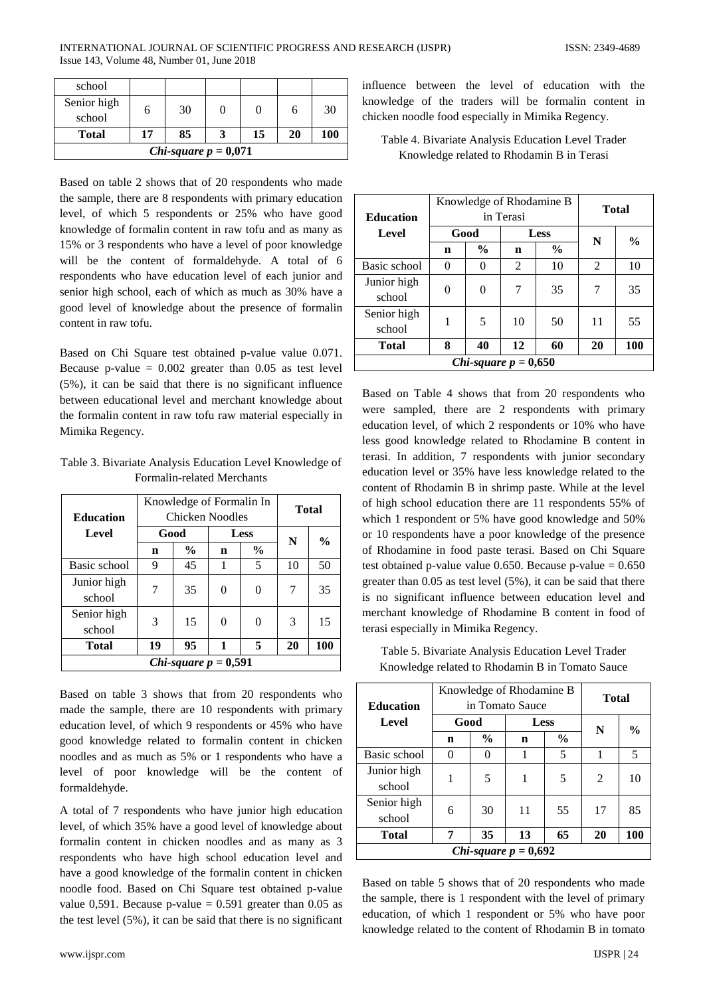| school                 |    |    |  |    |    |     |  |
|------------------------|----|----|--|----|----|-----|--|
| Senior high<br>school  |    | 30 |  |    |    | 30  |  |
| <b>Total</b>           | 17 | 85 |  | 15 | 20 | 100 |  |
| Chi-square $p = 0,071$ |    |    |  |    |    |     |  |

Based on table 2 shows that of 20 respondents who made the sample, there are 8 respondents with primary education level, of which 5 respondents or 25% who have good knowledge of formalin content in raw tofu and as many as 15% or 3 respondents who have a level of poor knowledge will be the content of formaldehyde. A total of 6 respondents who have education level of each junior and senior high school, each of which as much as 30% have a good level of knowledge about the presence of formalin content in raw tofu.

Based on Chi Square test obtained p-value value 0.071. Because p-value  $= 0.002$  greater than 0.05 as test level (5%), it can be said that there is no significant influence between educational level and merchant knowledge about the formalin content in raw tofu raw material especially in Mimika Regency.

Table 3. Bivariate Analysis Education Level Knowledge of Formalin-related Merchants

| <b>Education</b>       |      | Knowledge of Formalin In<br>Chicken Noodles | <b>Total</b> |               |    |               |  |
|------------------------|------|---------------------------------------------|--------------|---------------|----|---------------|--|
| Level                  | Good |                                             | Less         |               | N  |               |  |
|                        | n    | $\%$                                        | n            | $\frac{6}{9}$ |    | $\frac{0}{0}$ |  |
| Basic school           | 9    | 45                                          |              | 5             | 10 | 50            |  |
| Junior high<br>school  | 7    | 35                                          |              | $\Omega$      | 7  | 35            |  |
| Senior high<br>school  | 3    | 15                                          | 0            | $\Omega$      | 3  | 15            |  |
| <b>Total</b>           | 19   | 95                                          | 1            | 5             | 20 | 100           |  |
| Chi-square $p = 0,591$ |      |                                             |              |               |    |               |  |

Based on table 3 shows that from 20 respondents who made the sample, there are 10 respondents with primary education level, of which 9 respondents or 45% who have good knowledge related to formalin content in chicken noodles and as much as 5% or 1 respondents who have a level of poor knowledge will be the content of formaldehyde.

A total of 7 respondents who have junior high education level, of which 35% have a good level of knowledge about formalin content in chicken noodles and as many as 3 respondents who have high school education level and have a good knowledge of the formalin content in chicken noodle food. Based on Chi Square test obtained p-value value 0,591. Because p-value =  $0.591$  greater than 0.05 as the test level (5%), it can be said that there is no significant

www.ijspr.com IJSPR | 24

influence between the level of education with the knowledge of the traders will be formalin content in chicken noodle food especially in Mimika Regency.

Table 4. Bivariate Analysis Education Level Trader Knowledge related to Rhodamin B in Terasi

| <b>Education</b>       |      | Knowledge of Rhodamine B<br>in Terasi | Total |               |    |               |  |
|------------------------|------|---------------------------------------|-------|---------------|----|---------------|--|
| Level                  | Good |                                       |       | <b>Less</b>   | N  | $\frac{0}{0}$ |  |
|                        | n    | $\frac{6}{6}$                         | n     | $\frac{6}{9}$ |    |               |  |
| Basic school           | 0    | $\mathbf{0}$                          | 2     | 10            | 2  | 10            |  |
| Junior high            | 0    | 0                                     | 7     | 35            | 7  | 35            |  |
| school                 |      |                                       |       |               |    |               |  |
| Senior high<br>school  | 1    | 5                                     | 10    | 50            | 11 | 55            |  |
| <b>Total</b>           | 8    | 40                                    | 12    | 60            | 20 | 100           |  |
| Chi-square $p = 0,650$ |      |                                       |       |               |    |               |  |

Based on Table 4 shows that from 20 respondents who were sampled, there are 2 respondents with primary education level, of which 2 respondents or 10% who have less good knowledge related to Rhodamine B content in terasi. In addition, 7 respondents with junior secondary education level or 35% have less knowledge related to the content of Rhodamin B in shrimp paste. While at the level of high school education there are 11 respondents 55% of which 1 respondent or 5% have good knowledge and 50% or 10 respondents have a poor knowledge of the presence of Rhodamine in food paste terasi. Based on Chi Square test obtained p-value value  $0.650$ . Because p-value =  $0.650$ greater than 0.05 as test level (5%), it can be said that there is no significant influence between education level and merchant knowledge of Rhodamine B content in food of terasi especially in Mimika Regency.

Table 5. Bivariate Analysis Education Level Trader Knowledge related to Rhodamin B in Tomato Sauce

| <b>Education</b>       | Knowledge of Rhodamine B<br>in Tomato Sauce |               |    |               | Total |               |  |
|------------------------|---------------------------------------------|---------------|----|---------------|-------|---------------|--|
| Level                  | Good<br>Less                                |               |    |               |       |               |  |
|                        | n                                           | $\frac{6}{9}$ | n  | $\frac{0}{0}$ | N     | $\frac{6}{9}$ |  |
| Basic school           | ∩                                           |               |    | 5             |       | 5             |  |
| Junior high<br>school  |                                             | 5             | 1  | 5             | 2     | 10            |  |
| Senior high<br>school  | 6                                           | 30            | 11 | 55            | 17    | 85            |  |
| <b>Total</b>           | 7                                           | 35            | 13 | 65            | 20    | 100           |  |
| Chi-square $p = 0,692$ |                                             |               |    |               |       |               |  |

Based on table 5 shows that of 20 respondents who made the sample, there is 1 respondent with the level of primary education, of which 1 respondent or 5% who have poor knowledge related to the content of Rhodamin B in tomato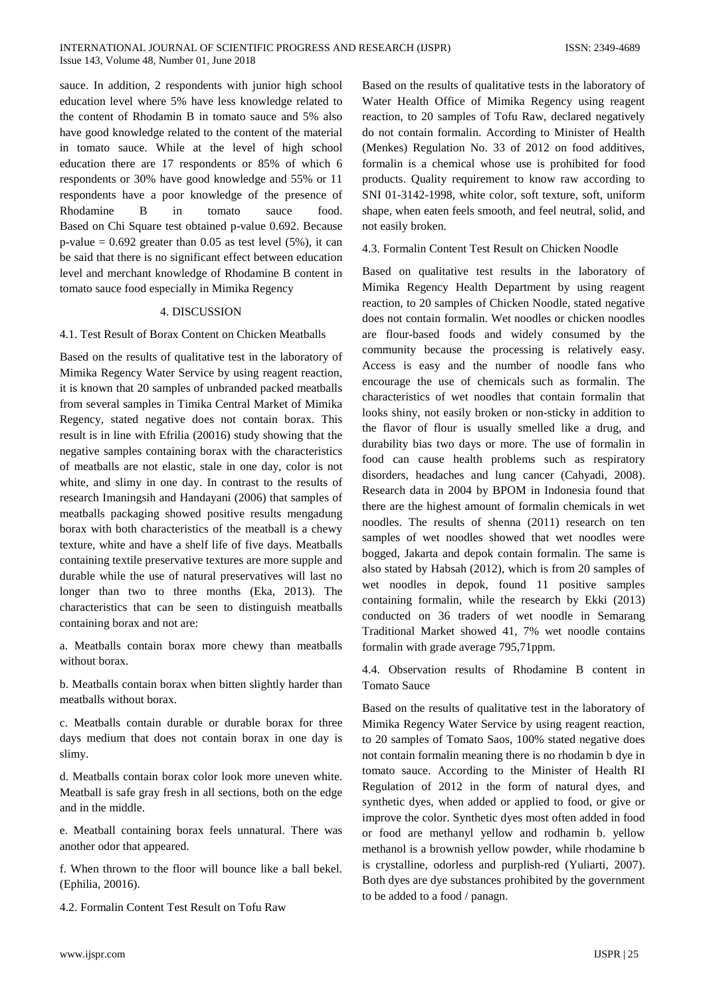sauce. In addition, 2 respondents with junior high school education level where 5% have less knowledge related to the content of Rhodamin B in tomato sauce and 5% also have good knowledge related to the content of the material in tomato sauce. While at the level of high school education there are 17 respondents or 85% of which 6 respondents or 30% have good knowledge and 55% or 11 respondents have a poor knowledge of the presence of Rhodamine B in tomato sauce food. Based on Chi Square test obtained p-value 0.692. Because p-value  $= 0.692$  greater than 0.05 as test level  $(5\%)$ , it can be said that there is no significant effect between education level and merchant knowledge of Rhodamine B content in tomato sauce food especially in Mimika Regency

# 4. DISCUSSION

# 4.1. Test Result of Borax Content on Chicken Meatballs

Based on the results of qualitative test in the laboratory of Mimika Regency Water Service by using reagent reaction, it is known that 20 samples of unbranded packed meatballs from several samples in Timika Central Market of Mimika Regency, stated negative does not contain borax. This result is in line with Efrilia (20016) study showing that the negative samples containing borax with the characteristics of meatballs are not elastic, stale in one day, color is not white, and slimy in one day. In contrast to the results of research Imaningsih and Handayani (2006) that samples of meatballs packaging showed positive results mengadung borax with both characteristics of the meatball is a chewy texture, white and have a shelf life of five days. Meatballs containing textile preservative textures are more supple and durable while the use of natural preservatives will last no longer than two to three months (Eka, 2013). The characteristics that can be seen to distinguish meatballs containing borax and not are:

a. Meatballs contain borax more chewy than meatballs without borax.

b. Meatballs contain borax when bitten slightly harder than meatballs without borax.

c. Meatballs contain durable or durable borax for three days medium that does not contain borax in one day is slimy.

d. Meatballs contain borax color look more uneven white. Meatball is safe gray fresh in all sections, both on the edge and in the middle.

e. Meatball containing borax feels unnatural. There was another odor that appeared.

f. When thrown to the floor will bounce like a ball bekel. (Ephilia, 20016).

4.2. Formalin Content Test Result on Tofu Raw

Based on the results of qualitative tests in the laboratory of Water Health Office of Mimika Regency using reagent reaction, to 20 samples of Tofu Raw, declared negatively do not contain formalin. According to Minister of Health (Menkes) Regulation No. 33 of 2012 on food additives, formalin is a chemical whose use is prohibited for food products. Quality requirement to know raw according to SNI 01-3142-1998, white color, soft texture, soft, uniform shape, when eaten feels smooth, and feel neutral, solid, and not easily broken.

4.3. Formalin Content Test Result on Chicken Noodle

Based on qualitative test results in the laboratory of Mimika Regency Health Department by using reagent reaction, to 20 samples of Chicken Noodle, stated negative does not contain formalin. Wet noodles or chicken noodles are flour-based foods and widely consumed by the community because the processing is relatively easy. Access is easy and the number of noodle fans who encourage the use of chemicals such as formalin. The characteristics of wet noodles that contain formalin that looks shiny, not easily broken or non-sticky in addition to the flavor of flour is usually smelled like a drug, and durability bias two days or more. The use of formalin in food can cause health problems such as respiratory disorders, headaches and lung cancer (Cahyadi, 2008). Research data in 2004 by BPOM in Indonesia found that there are the highest amount of formalin chemicals in wet noodles. The results of shenna (2011) research on ten samples of wet noodles showed that wet noodles were bogged, Jakarta and depok contain formalin. The same is also stated by Habsah (2012), which is from 20 samples of wet noodles in depok, found 11 positive samples containing formalin, while the research by Ekki (2013) conducted on 36 traders of wet noodle in Semarang Traditional Market showed 41, 7% wet noodle contains formalin with grade average 795,71ppm.

4.4. Observation results of Rhodamine B content in Tomato Sauce

Based on the results of qualitative test in the laboratory of Mimika Regency Water Service by using reagent reaction, to 20 samples of Tomato Saos, 100% stated negative does not contain formalin meaning there is no rhodamin b dye in tomato sauce. According to the Minister of Health RI Regulation of 2012 in the form of natural dyes, and synthetic dyes, when added or applied to food, or give or improve the color. Synthetic dyes most often added in food or food are methanyl yellow and rodhamin b. yellow methanol is a brownish yellow powder, while rhodamine b is crystalline, odorless and purplish-red (Yuliarti, 2007). Both dyes are dye substances prohibited by the government to be added to a food / panagn.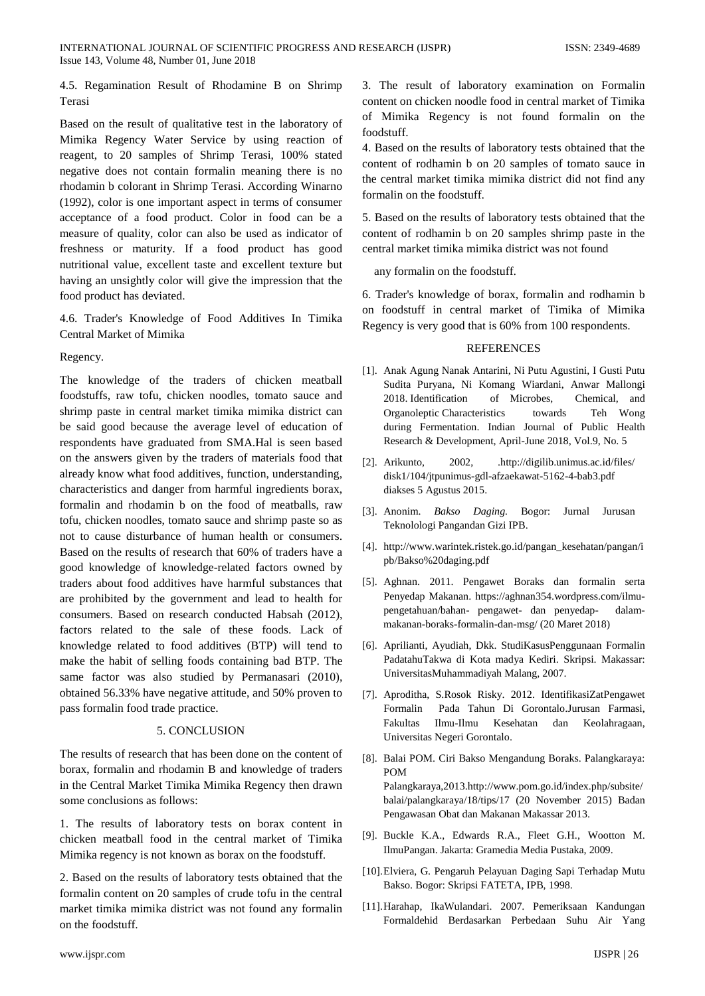4.5. Regamination Result of Rhodamine B on Shrimp Terasi

Based on the result of qualitative test in the laboratory of Mimika Regency Water Service by using reaction of reagent, to 20 samples of Shrimp Terasi, 100% stated negative does not contain formalin meaning there is no rhodamin b colorant in Shrimp Terasi. According Winarno (1992), color is one important aspect in terms of consumer acceptance of a food product. Color in food can be a measure of quality, color can also be used as indicator of freshness or maturity. If a food product has good nutritional value, excellent taste and excellent texture but having an unsightly color will give the impression that the food product has deviated.

4.6. Trader's Knowledge of Food Additives In Timika Central Market of Mimika

Regency.

The knowledge of the traders of chicken meatball foodstuffs, raw tofu, chicken noodles, tomato sauce and shrimp paste in central market timika mimika district can be said good because the average level of education of respondents have graduated from SMA.Hal is seen based on the answers given by the traders of materials food that already know what food additives, function, understanding, characteristics and danger from harmful ingredients borax, formalin and rhodamin b on the food of meatballs, raw tofu, chicken noodles, tomato sauce and shrimp paste so as not to cause disturbance of human health or consumers. Based on the results of research that 60% of traders have a good knowledge of knowledge-related factors owned by traders about food additives have harmful substances that are prohibited by the government and lead to health for consumers. Based on research conducted Habsah (2012), factors related to the sale of these foods. Lack of knowledge related to food additives (BTP) will tend to make the habit of selling foods containing bad BTP. The same factor was also studied by Permanasari (2010), obtained 56.33% have negative attitude, and 50% proven to pass formalin food trade practice.

# 5. CONCLUSION

The results of research that has been done on the content of borax, formalin and rhodamin B and knowledge of traders in the Central Market Timika Mimika Regency then drawn some conclusions as follows:

1. The results of laboratory tests on borax content in chicken meatball food in the central market of Timika Mimika regency is not known as borax on the foodstuff.

2. Based on the results of laboratory tests obtained that the formalin content on 20 samples of crude tofu in the central market timika mimika district was not found any formalin on the foodstuff.

4. Based on the results of laboratory tests obtained that the content of rodhamin b on 20 samples of tomato sauce in the central market timika mimika district did not find any formalin on the foodstuff.

5. Based on the results of laboratory tests obtained that the content of rodhamin b on 20 samples shrimp paste in the central market timika mimika district was not found

any formalin on the foodstuff.

6. Trader's knowledge of borax, formalin and rodhamin b on foodstuff in central market of Timika of Mimika Regency is very good that is 60% from 100 respondents.

## REFERENCES

- [1]. Anak Agung Nanak Antarini, Ni Putu Agustini, I Gusti Putu Sudita Puryana, Ni Komang Wiardani, Anwar Mallongi 2018. Identification of Microbes, Chemical, and Organoleptic Characteristics towards Teh Wong during Fermentation. Indian Journal of Public Health Research & Development, April-June 2018, Vol.9, No. 5
- [2]. Arikunto, 2002, .http://digilib.unimus.ac.id/files/ disk1/104/jtpunimus-gdl-afzaekawat-5162-4-bab3.pdf diakses 5 Agustus 2015.
- [3]. Anonim. *Bakso Daging.* Bogor: Jurnal Jurusan Teknolologi Pangandan Gizi IPB.
- [4]. http://www.warintek.ristek.go.id/pangan\_kesehatan/pangan/i pb/Bakso%20daging.pdf
- [5]. Aghnan. 2011. Pengawet Boraks dan formalin serta Penyedap Makanan. https://aghnan354.wordpress.com/ilmupengetahuan/bahan- pengawet- dan penyedap- dalammakanan-boraks-formalin-dan-msg/ (20 Maret 2018)
- [6]. Aprilianti, Ayudiah, Dkk. StudiKasusPenggunaan Formalin PadatahuTakwa di Kota madya Kediri. Skripsi. Makassar: UniversitasMuhammadiyah Malang, 2007.
- [7]. Aproditha, S.Rosok Risky. 2012. IdentifikasiZatPengawet Formalin Pada Tahun Di Gorontalo.Jurusan Farmasi, Fakultas Ilmu-Ilmu Kesehatan dan Keolahragaan, Universitas Negeri Gorontalo.
- [8]. Balai POM. Ciri Bakso Mengandung Boraks. Palangkaraya: POM Palangkaraya,2013.http://www.pom.go.id/index.php/subsite/ balai/palangkaraya/18/tips/17 (20 November 2015) Badan Pengawasan Obat dan Makanan Makassar 2013.
- [9]. Buckle K.A., Edwards R.A., Fleet G.H., Wootton M. IlmuPangan. Jakarta: Gramedia Media Pustaka, 2009.
- [10].Elviera, G. Pengaruh Pelayuan Daging Sapi Terhadap Mutu Bakso. Bogor: Skripsi FATETA, IPB, 1998.
- [11].Harahap, IkaWulandari. 2007. Pemeriksaan Kandungan Formaldehid Berdasarkan Perbedaan Suhu Air Yang